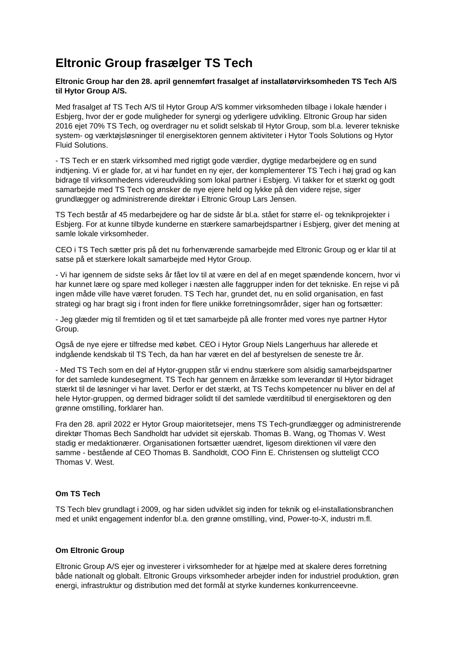# **Eltronic Group frasælger TS Tech**

## **Eltronic Group har den 28. april gennemført frasalget af installatørvirksomheden TS Tech A/S til Hytor Group A/S.**

Med frasalget af TS Tech A/S til Hytor Group A/S kommer virksomheden tilbage i lokale hænder i Esbjerg, hvor der er gode muligheder for synergi og yderligere udvikling. Eltronic Group har siden 2016 ejet 70% TS Tech, og overdrager nu et solidt selskab til Hytor Group, som bl.a. leverer tekniske system- og værktøjsløsninger til energisektoren gennem aktiviteter i Hytor Tools Solutions og Hytor Fluid Solutions.

- TS Tech er en stærk virksomhed med rigtigt gode værdier, dygtige medarbejdere og en sund indtjening. Vi er glade for, at vi har fundet en ny ejer, der komplementerer TS Tech i høj grad og kan bidrage til virksomhedens videreudvikling som lokal partner i Esbjerg. Vi takker for et stærkt og godt samarbejde med TS Tech og ønsker de nye ejere held og lykke på den videre rejse, siger grundlægger og administrerende direktør i Eltronic Group Lars Jensen.

TS Tech består af 45 medarbejdere og har de sidste år bl.a. stået for større el- og teknikprojekter i Esbjerg. For at kunne tilbyde kunderne en stærkere samarbejdspartner i Esbjerg, giver det mening at samle lokale virksomheder.

CEO i TS Tech sætter pris på det nu forhenværende samarbejde med Eltronic Group og er klar til at satse på et stærkere lokalt samarbejde med Hytor Group.

- Vi har igennem de sidste seks år fået lov til at være en del af en meget spændende koncern, hvor vi har kunnet lære og spare med kolleger i næsten alle faggrupper inden for det tekniske. En rejse vi på ingen måde ville have været foruden. TS Tech har, grundet det, nu en solid organisation, en fast strategi og har bragt sig i front inden for flere unikke forretningsområder, siger han og fortsætter:

- Jeg glæder mig til fremtiden og til et tæt samarbejde på alle fronter med vores nye partner Hytor Group.

Også de nye ejere er tilfredse med købet. CEO i Hytor Group Niels Langerhuus har allerede et indgående kendskab til TS Tech, da han har været en del af bestyrelsen de seneste tre år.

- Med TS Tech som en del af Hytor-gruppen står vi endnu stærkere som alsidig samarbejdspartner for det samlede kundesegment. TS Tech har gennem en årrække som leverandør til Hytor bidraget stærkt til de løsninger vi har lavet. Derfor er det stærkt, at TS Techs kompetencer nu bliver en del af hele Hytor-gruppen, og dermed bidrager solidt til det samlede værditilbud til energisektoren og den grønne omstilling, forklarer han.

Fra den 28. april 2022 er Hytor Group maioritetsejer, mens TS Tech-grundlægger og administrerende direktør Thomas Bech Sandholdt har udvidet sit ejerskab. Thomas B. Wang, og Thomas V. West stadig er medaktionærer. Organisationen fortsætter uændret, ligesom direktionen vil være den samme - bestående af CEO Thomas B. Sandholdt, COO Finn E. Christensen og slutteligt CCO Thomas V. West.

## **Om TS Tech**

TS Tech blev grundlagt i 2009, og har siden udviklet sig inden for teknik og el-installationsbranchen med et unikt engagement indenfor bl.a. den grønne omstilling, vind, Power-to-X, industri m.fl.

#### **Om Eltronic Group**

Eltronic Group A/S ejer og investerer i virksomheder for at hjælpe med at skalere deres forretning både nationalt og globalt. Eltronic Groups virksomheder arbejder inden for industriel produktion, grøn energi, infrastruktur og distribution med det formål at styrke kundernes konkurrenceevne.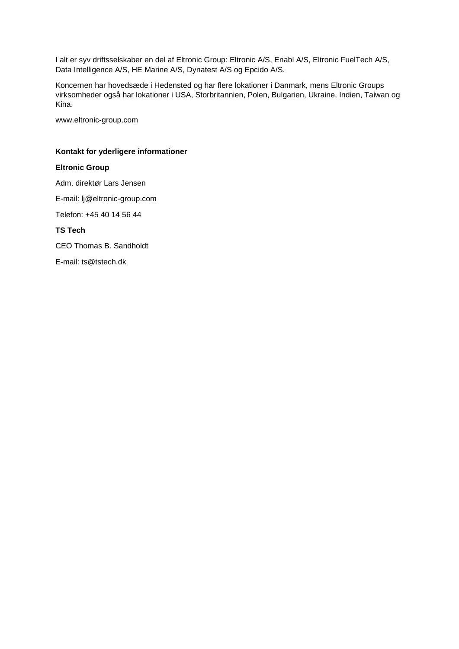I alt er syv driftsselskaber en del af Eltronic Group: Eltronic A/S, Enabl A/S, Eltronic FuelTech A/S, Data Intelligence A/S, HE Marine A/S, Dynatest A/S og Epcido A/S.

Koncernen har hovedsæde i Hedensted og har flere lokationer i Danmark, mens Eltronic Groups virksomheder også har lokationer i USA, Storbritannien, Polen, Bulgarien, Ukraine, Indien, Taiwan og Kina.

www.eltronic-group.com

## **Kontakt for yderligere informationer**

### **Eltronic Group**

Adm. direktør Lars Jensen

E-mail: lj@eltronic-group.com

Telefon: +45 40 14 56 44

### **TS Tech**

CEO Thomas B. Sandholdt

E-mail: ts@tstech.dk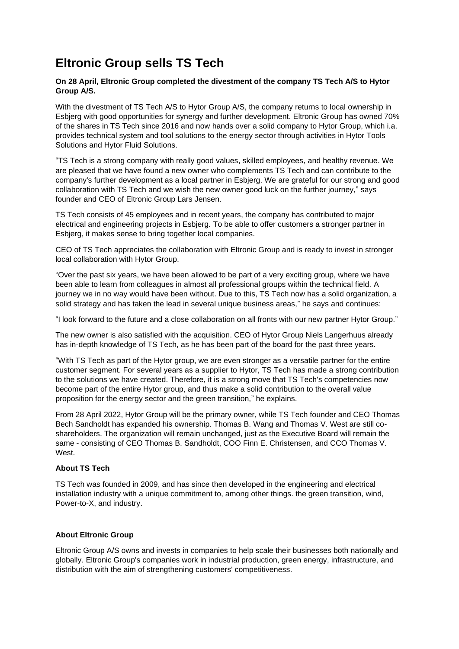## **Eltronic Group sells TS Tech**

## **On 28 April, Eltronic Group completed the divestment of the company TS Tech A/S to Hytor Group A/S.**

With the divestment of TS Tech A/S to Hytor Group A/S, the company returns to local ownership in Esbjerg with good opportunities for synergy and further development. Eltronic Group has owned 70% of the shares in TS Tech since 2016 and now hands over a solid company to Hytor Group, which i.a. provides technical system and tool solutions to the energy sector through activities in Hytor Tools Solutions and Hytor Fluid Solutions.

"TS Tech is a strong company with really good values, skilled employees, and healthy revenue. We are pleased that we have found a new owner who complements TS Tech and can contribute to the company's further development as a local partner in Esbjerg. We are grateful for our strong and good collaboration with TS Tech and we wish the new owner good luck on the further journey," says founder and CEO of Eltronic Group Lars Jensen.

TS Tech consists of 45 employees and in recent years, the company has contributed to major electrical and engineering projects in Esbjerg. To be able to offer customers a stronger partner in Esbjerg, it makes sense to bring together local companies.

CEO of TS Tech appreciates the collaboration with Eltronic Group and is ready to invest in stronger local collaboration with Hytor Group.

"Over the past six years, we have been allowed to be part of a very exciting group, where we have been able to learn from colleagues in almost all professional groups within the technical field. A journey we in no way would have been without. Due to this, TS Tech now has a solid organization, a solid strategy and has taken the lead in several unique business areas," he says and continues:

"I look forward to the future and a close collaboration on all fronts with our new partner Hytor Group."

The new owner is also satisfied with the acquisition. CEO of Hytor Group Niels Langerhuus already has in-depth knowledge of TS Tech, as he has been part of the board for the past three years.

"With TS Tech as part of the Hytor group, we are even stronger as a versatile partner for the entire customer segment. For several years as a supplier to Hytor, TS Tech has made a strong contribution to the solutions we have created. Therefore, it is a strong move that TS Tech's competencies now become part of the entire Hytor group, and thus make a solid contribution to the overall value proposition for the energy sector and the green transition," he explains.

From 28 April 2022, Hytor Group will be the primary owner, while TS Tech founder and CEO Thomas Bech Sandholdt has expanded his ownership. Thomas B. Wang and Thomas V. West are still coshareholders. The organization will remain unchanged, just as the Executive Board will remain the same - consisting of CEO Thomas B. Sandholdt, COO Finn E. Christensen, and CCO Thomas V. West

## **About TS Tech**

TS Tech was founded in 2009, and has since then developed in the engineering and electrical installation industry with a unique commitment to, among other things. the green transition, wind, Power-to-X, and industry.

## **About Eltronic Group**

Eltronic Group A/S owns and invests in companies to help scale their businesses both nationally and globally. Eltronic Group's companies work in industrial production, green energy, infrastructure, and distribution with the aim of strengthening customers' competitiveness.